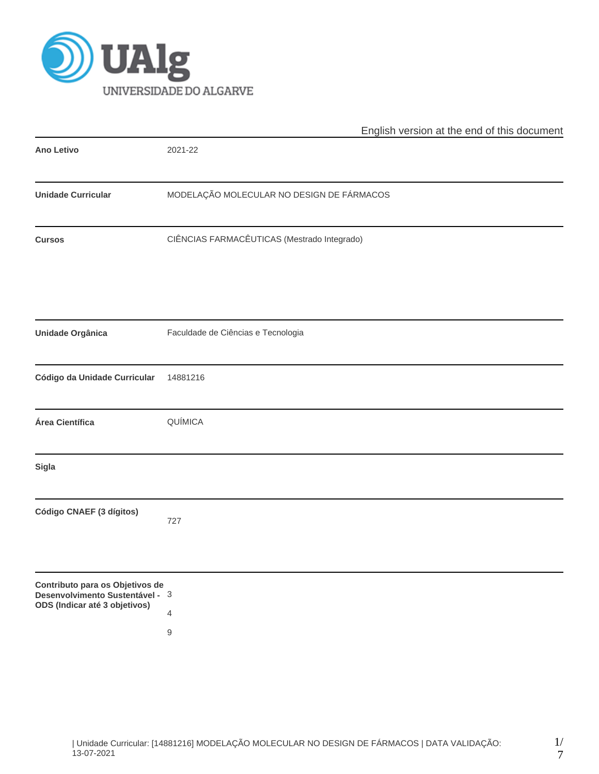

|                                                                                                     | English version at the end of this document |  |  |  |  |  |  |
|-----------------------------------------------------------------------------------------------------|---------------------------------------------|--|--|--|--|--|--|
| <b>Ano Letivo</b>                                                                                   | 2021-22                                     |  |  |  |  |  |  |
| <b>Unidade Curricular</b>                                                                           | MODELAÇÃO MOLECULAR NO DESIGN DE FÁRMACOS   |  |  |  |  |  |  |
| <b>Cursos</b>                                                                                       | CIÊNCIAS FARMACÊUTICAS (Mestrado Integrado) |  |  |  |  |  |  |
| <b>Unidade Orgânica</b>                                                                             | Faculdade de Ciências e Tecnologia          |  |  |  |  |  |  |
| Código da Unidade Curricular                                                                        | 14881216                                    |  |  |  |  |  |  |
| Área Científica                                                                                     | QUÍMICA                                     |  |  |  |  |  |  |
| <b>Sigla</b>                                                                                        |                                             |  |  |  |  |  |  |
| Código CNAEF (3 dígitos)                                                                            | 727                                         |  |  |  |  |  |  |
| Contributo para os Objetivos de<br>Desenvolvimento Sustentável - 3<br>ODS (Indicar até 3 objetivos) | $\overline{4}$<br>9                         |  |  |  |  |  |  |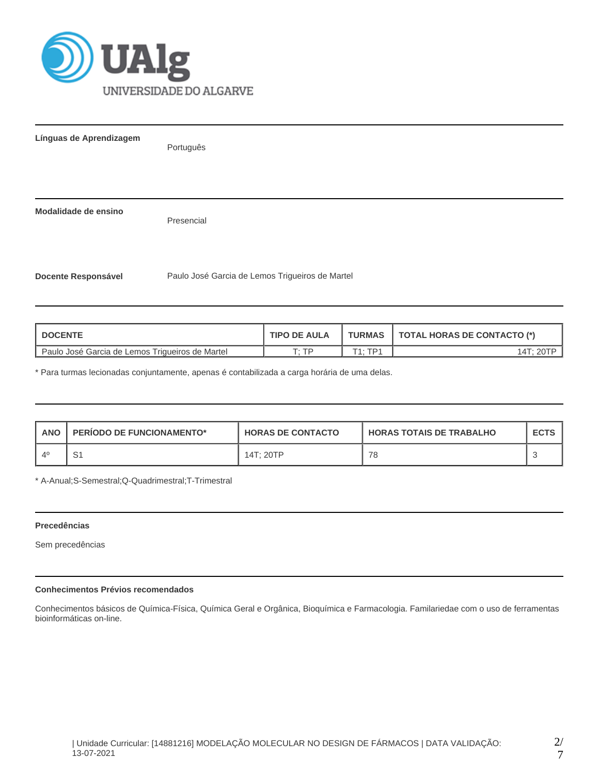

| Línguas de Aprendizagem    | Português                                       |
|----------------------------|-------------------------------------------------|
|                            |                                                 |
| Modalidade de ensino       | Presencial                                      |
| <b>Docente Responsável</b> | Paulo José Garcia de Lemos Trigueiros de Martel |

| <b>DOCENTE</b>                                    | <b>TIPO DE AULA</b> | <b>TURMAS</b>  | TOTAL HORAS DE CONTACTO (*) |
|---------------------------------------------------|---------------------|----------------|-----------------------------|
| l Paulo José Garcia de Lemos Trigueiros de Martel | סד יד               | $T4 \cdot TD4$ |                             |

\* Para turmas lecionadas conjuntamente, apenas é contabilizada a carga horária de uma delas.

| <b>ANO</b>        | <b>PERIODO DE FUNCIONAMENTO*</b> | <b>HORAS DE CONTACTO</b> | <b>HORAS TOTAIS DE TRABALHO</b> | <b>ECTS</b> |
|-------------------|----------------------------------|--------------------------|---------------------------------|-------------|
| $\Lambda^{\rm C}$ |                                  | 14T: 20TP                | 78                              |             |

\* A-Anual;S-Semestral;Q-Quadrimestral;T-Trimestral

# **Precedências**

Sem precedências

# **Conhecimentos Prévios recomendados**

Conhecimentos básicos de Química-Física, Química Geral e Orgânica, Bioquímica e Farmacologia. Familariedae com o uso de ferramentas bioinformáticas on-line.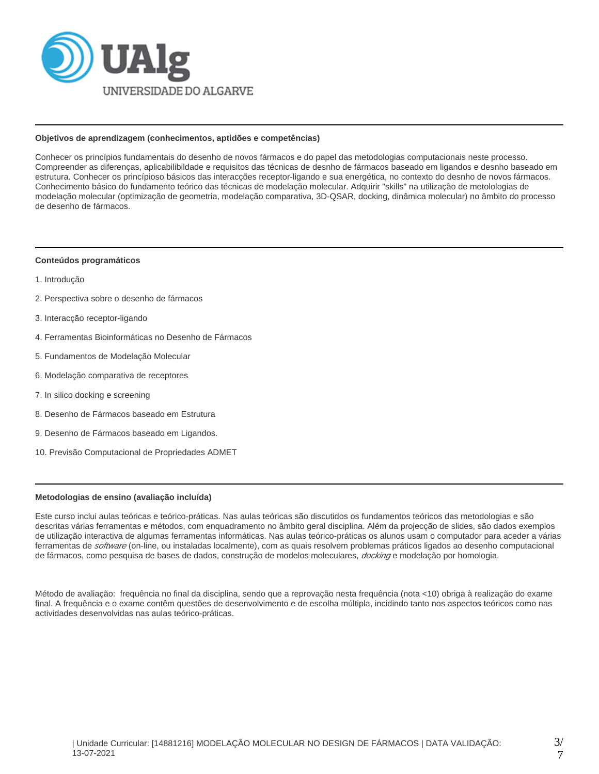

#### **Objetivos de aprendizagem (conhecimentos, aptidões e competências)**

Conhecer os princípios fundamentais do desenho de novos fármacos e do papel das metodologias computacionais neste processo. Compreender as diferenças, aplicabilibildade e requisitos das técnicas de desnho de fármacos baseado em ligandos e desnho baseado em estrutura. Conhecer os princípioso básicos das interacções receptor-ligando e sua energética, no contexto do desnho de novos fármacos. Conhecimento básico do fundamento teórico das técnicas de modelação molecular. Adquirir "skills" na utilização de metolologias de modelação molecular (optimização de geometria, modelação comparativa, 3D-QSAR, docking, dinâmica molecular) no âmbito do processo de desenho de fármacos.

#### **Conteúdos programáticos**

- 1. Introdução
- 2. Perspectiva sobre o desenho de fármacos
- 3. Interacção receptor-ligando
- 4. Ferramentas Bioinformáticas no Desenho de Fármacos
- 5. Fundamentos de Modelação Molecular
- 6. Modelação comparativa de receptores
- 7. In silico docking e screening
- 8. Desenho de Fármacos baseado em Estrutura
- 9. Desenho de Fármacos baseado em Ligandos.
- 10. Previsão Computacional de Propriedades ADMET

#### **Metodologias de ensino (avaliação incluída)**

Este curso inclui aulas teóricas e teórico-práticas. Nas aulas teóricas são discutidos os fundamentos teóricos das metodologias e são descritas várias ferramentas e métodos, com enquadramento no âmbito geral disciplina. Além da projecção de slides, são dados exemplos de utilização interactiva de algumas ferramentas informáticas. Nas aulas teórico-práticas os alunos usam o computador para aceder a várias ferramentas de *software* (on-line, ou instaladas localmente), com as quais resolvem problemas práticos ligados ao desenho computacional de fármacos, como pesquisa de bases de dados, construção de modelos moleculares, docking e modelação por homologia.

Método de avaliação: frequência no final da disciplina, sendo que a reprovação nesta frequência (nota <10) obriga à realização do exame final. A frequência e o exame contêm questões de desenvolvimento e de escolha múltipla, incidindo tanto nos aspectos teóricos como nas actividades desenvolvidas nas aulas teórico-práticas.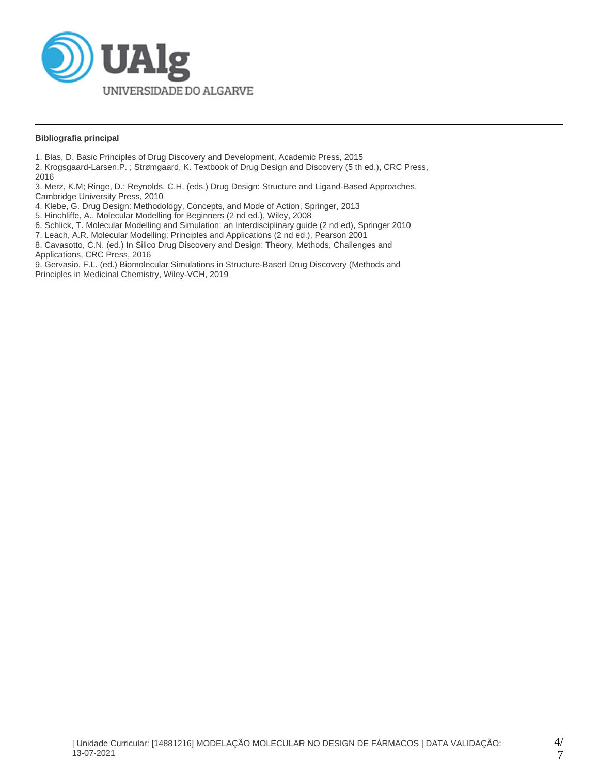

### **Bibliografia principal**

1. Blas, D. Basic Principles of Drug Discovery and Development, Academic Press, 2015

2. Krogsgaard-Larsen,P. ; Strømgaard, K. Textbook of Drug Design and Discovery (5 th ed.), CRC Press, 2016

3. Merz, K.M; Ringe, D.; Reynolds, C.H. (eds.) Drug Design: Structure and Ligand-Based Approaches, Cambridge University Press, 2010

4. Klebe, G. Drug Design: Methodology, Concepts, and Mode of Action, Springer, 2013

5. Hinchliffe, A., Molecular Modelling for Beginners (2 nd ed.), Wiley, 2008

6. Schlick, T. Molecular Modelling and Simulation: an Interdisciplinary guide (2 nd ed), Springer 2010

7. Leach, A.R. Molecular Modelling: Principles and Applications (2 nd ed.), Pearson 2001

8. Cavasotto, C.N. (ed.) In Silico Drug Discovery and Design: Theory, Methods, Challenges and Applications, CRC Press, 2016

9. Gervasio, F.L. (ed.) Biomolecular Simulations in Structure-Based Drug Discovery (Methods and Principles in Medicinal Chemistry, Wiley-VCH, 2019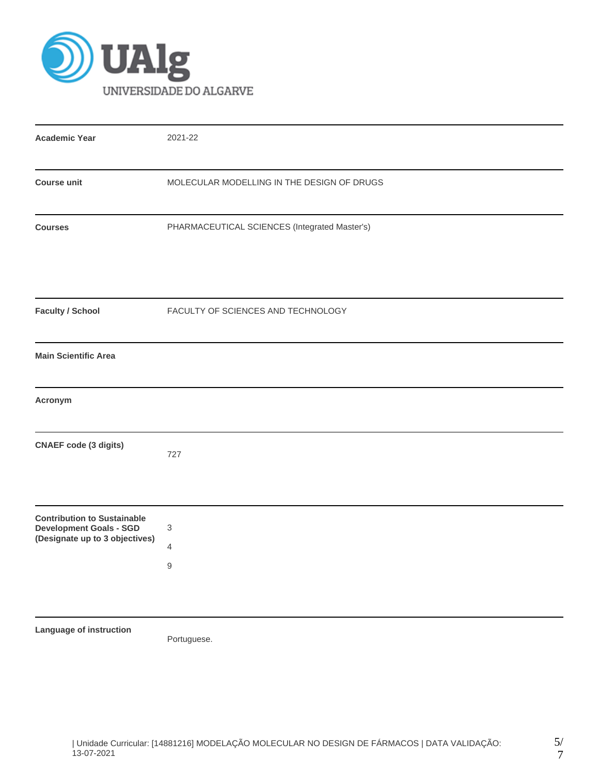

| <b>Academic Year</b>                                                                                   | 2021-22                                       |
|--------------------------------------------------------------------------------------------------------|-----------------------------------------------|
| <b>Course unit</b>                                                                                     | MOLECULAR MODELLING IN THE DESIGN OF DRUGS    |
| <b>Courses</b>                                                                                         | PHARMACEUTICAL SCIENCES (Integrated Master's) |
| <b>Faculty / School</b>                                                                                | FACULTY OF SCIENCES AND TECHNOLOGY            |
| <b>Main Scientific Area</b>                                                                            |                                               |
| Acronym                                                                                                |                                               |
| <b>CNAEF</b> code (3 digits)                                                                           | 727                                           |
| <b>Contribution to Sustainable</b><br><b>Development Goals - SGD</b><br>(Designate up to 3 objectives) | 3<br>4<br>$\hbox{9}$                          |
| Language of instruction                                                                                | Portuguese.                                   |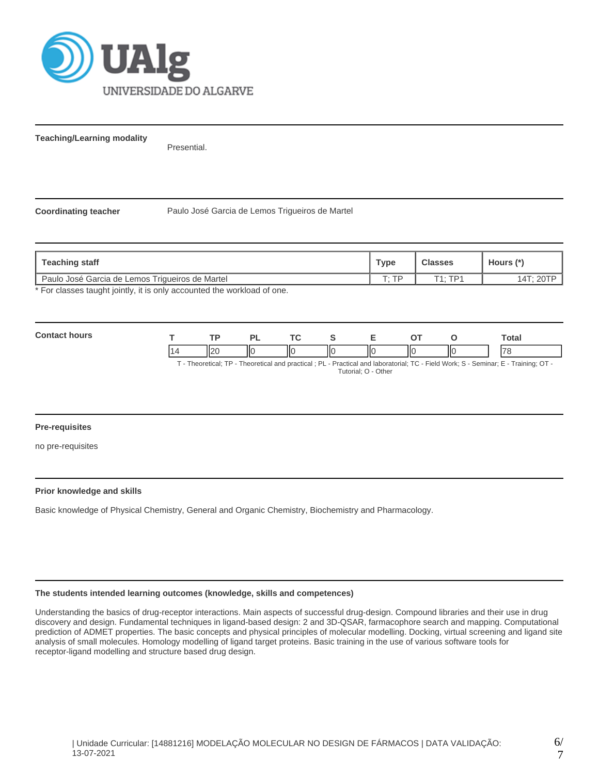

**Teaching/Learning modality**

Presential.

**Coordinating teacher** Paulo José Garcia de Lemos Trigueiros de Martel

| Teaching staff                                                        | Type         | <b>Classes</b> | Hours (*) |
|-----------------------------------------------------------------------|--------------|----------------|-----------|
| Paulo José Garcia de Lemos Triqueiros de Martel                       | $T \cdot TD$ | T1 · TD1       |           |
| * Ear algonan tought jointly it is only accounted the werkload of ane |              |                |           |

For classes taught jointly, it is only accounted the workload of one.

| <b>Contac</b><br>hours |           | ום  | <b>Trea</b> |    |                          |    |               | -<br>Total               |
|------------------------|-----------|-----|-------------|----|--------------------------|----|---------------|--------------------------|
|                        | ורוו<br>┅ | IІC |             | IЮ | $\overline{\phantom{a}}$ | НΟ | $\parallel$ o | $\overline{\phantom{a}}$ |

T - Theoretical; TP - Theoretical and practical ; PL - Practical and laboratorial; TC - Field Work; S - Seminar; E - Training; OT - Tutorial; O - Other

### **Pre-requisites**

no pre-requisites

#### **Prior knowledge and skills**

Basic knowledge of Physical Chemistry, General and Organic Chemistry, Biochemistry and Pharmacology.

#### **The students intended learning outcomes (knowledge, skills and competences)**

Understanding the basics of drug-receptor interactions. Main aspects of successful drug-design. Compound libraries and their use in drug discovery and design. Fundamental techniques in ligand-based design: 2 and 3D-QSAR, farmacophore search and mapping. Computational prediction of ADMET properties. The basic concepts and physical principles of molecular modelling. Docking, virtual screening and ligand site analysis of small molecules. Homology modelling of ligand target proteins. Basic training in the use of various software tools for receptor-ligand modelling and structure based drug design.